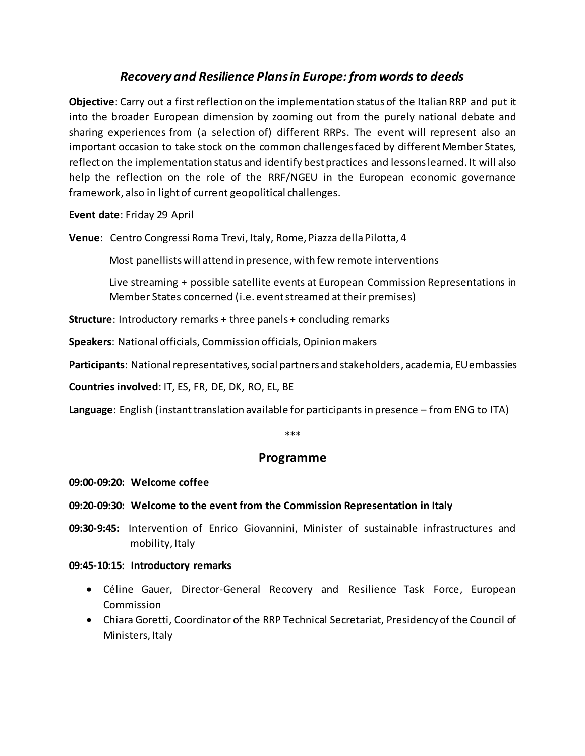# *Recovery and Resilience Plans in Europe: from words to deeds*

**Objective**: Carry out a first reflection on the implementation status of the Italian RRP and put it into the broader European dimension by zooming out from the purely national debate and sharing experiences from (a selection of) different RRPs. The event will represent also an important occasion to take stock on the common challenges faced by different Member States, reflect on the implementation status and identify best practices and lessons learned. It will also help the reflection on the role of the RRF/NGEU in the European economic governance framework, also in light of current geopolitical challenges.

**Event date**: Friday 29 April

**Venue**: Centro Congressi Roma Trevi, Italy, Rome, Piazza della Pilotta, 4

Most panellists will attend in presence, with few remote interventions

Live streaming + possible satellite events at European Commission Representations in Member States concerned (i.e. event streamed at their premises)

**Structure**: Introductory remarks + three panels + concluding remarks

**Speakers**: National officials, Commission officials, Opinion makers

**Participants**: National representatives, social partners and stakeholders, academia, EU embassies

**Countries involved**: IT, ES, FR, DE, DK, RO, EL, BE

**Language**: English (instant translation available for participants in presence – from ENG to ITA)

\*\*\*

## **Programme**

#### **09:00-09:20: Welcome coffee**

#### **09:20-09:30: Welcome to the event from the Commission Representation in Italy**

**09:30-9:45:** Intervention of Enrico Giovannini, Minister of sustainable infrastructures and mobility, Italy

#### **09:45-10:15: Introductory remarks**

- Céline Gauer, Director-General Recovery and Resilience Task Force, European Commission
- Chiara Goretti, Coordinator of the RRP Technical Secretariat, Presidency of the Council of Ministers, Italy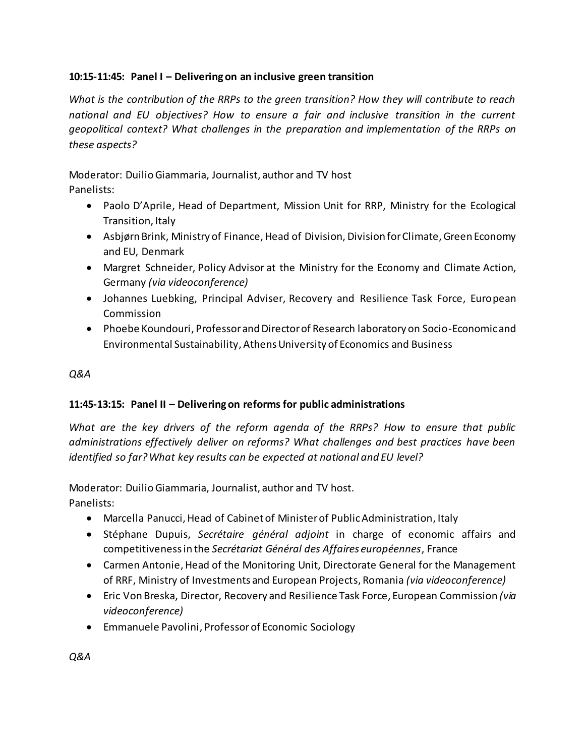## **10:15-11:45: Panel I – Delivering on an inclusive green transition**

*What is the contribution of the RRPs to the green transition? How they will contribute to reach national and EU objectives? How to ensure a fair and inclusive transition in the current geopolitical context? What challenges in the preparation and implementation of the RRPs on these aspects?*

Moderator: Duilio Giammaria, Journalist, author and TV host Panelists:

- Paolo D'Aprile, Head of Department, Mission Unit for RRP, Ministry for the Ecological Transition, Italy
- Asbjørn Brink, Ministry of Finance, Head of Division, Division for Climate, Green Economy and EU, Denmark
- Margret Schneider, Policy Advisor at the Ministry for the Economy and Climate Action, Germany *(via videoconference)*
- Johannes Luebking, Principal Adviser, Recovery and Resilience Task Force, European Commission
- Phoebe Koundouri, Professor and Director of Research laboratory on Socio-Economic and Environmental Sustainability, Athens University of Economics and Business

## *Q&A*

## **11:45-13:15: Panel II – Delivering on reforms for public administrations**

*What are the key drivers of the reform agenda of the RRPs? How to ensure that public administrations effectively deliver on reforms? What challenges and best practices have been identified so far? What key results can be expected at national and EU level?*

Moderator: Duilio Giammaria, Journalist, author and TV host. Panelists:

- Marcella Panucci, Head of Cabinet of Minister of Public Administration, Italy
- Stéphane Dupuis, *Secrétaire général adjoint* in charge of economic affairs and competitiveness in the *Secrétariat Général des Affaires européennes*, France
- Carmen Antonie, Head of the Monitoring Unit, Directorate General for the Management of RRF, Ministry of Investments and European Projects, Romania *(via videoconference)*
- Eric Von Breska, Director, Recovery and Resilience Task Force, European Commission *(via videoconference)*
- Emmanuele Pavolini, Professor of Economic Sociology